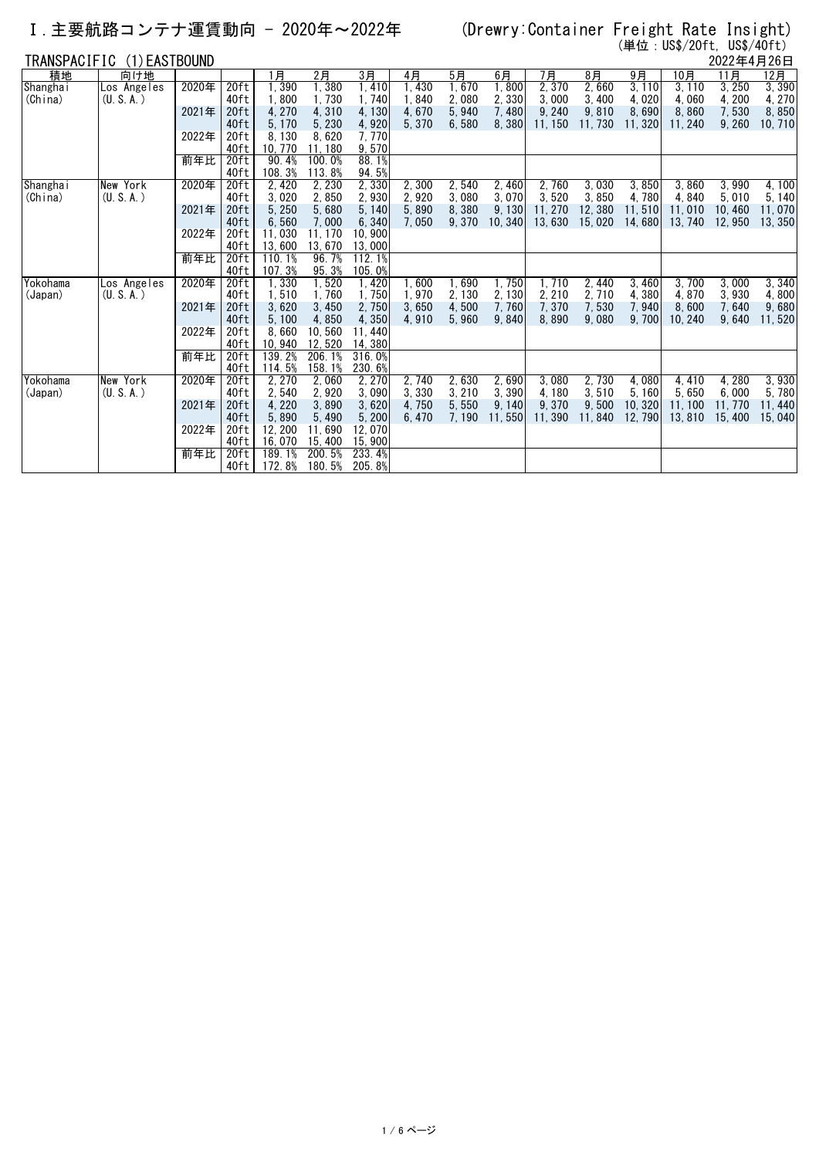### Ⅰ.主要航路コンテナ運賃動向 - 2020年~2022年 (Drewry:Container Freight Rate Insight)

(単位:US\$/20ft, US\$/40ft)

| TRANSPACIFIC<br>(1) EASTBOUND |             |       |                  |                 |                 |                  |                |                |                |                |                |                | 2022年4月26日      |                |         |
|-------------------------------|-------------|-------|------------------|-----------------|-----------------|------------------|----------------|----------------|----------------|----------------|----------------|----------------|-----------------|----------------|---------|
| 積地                            | 向け地         |       |                  | 1月              | 2月              | 3月               | 4月             | 5月             | 6月             | 7月             | $8$ 月          | 9月             | 10月             | 11月            | 12月     |
| Shanghai                      | Los Angeles | 2020年 | 20 <sub>ft</sub> | 1,390           | 1,380           | 1,410            | 1,430          | 1,670          | 1,800          | 2,370          | 2,660          | 3, 110         | 3, 110          | 3,250          | 3,390   |
| (China)                       | (U, S, A)   |       | 40ft             | 1,800           | 1,730           | 1,740            | 1.840          | 2,080          | 2,330          | 3,000          | 3,400          | 4.020          | 4.060           | 4, 200         | 4,270   |
|                               |             | 2021年 | 20ft             | 4, 270          | 4,310           | 4,130            | 4,670          | 5,940          | 7,480          | 9, 240         | 9,810          | 8,690          | 8.860           | 7,530          | 8,850   |
|                               |             |       | 40ft             | 5, 170          | 5,230           | 4,920            | 5,370          | 6,580          | 8,380          | 11, 150        | 11,730         | 11, 320        | 11.240          | 9,260          | 10, 710 |
|                               |             | 2022年 | 20ft             | 8,130           | 8.620           | 7.770            |                |                |                |                |                |                |                 |                |         |
|                               |             |       | 40ft             | 10.770          | 11.180          | 9,570            |                |                |                |                |                |                |                 |                |         |
|                               |             | 前年比   | 20 <sub>ft</sub> | 90.4%           | 100.0%          | 88.1%            |                |                |                |                |                |                |                 |                |         |
|                               |             |       | 40ft             | 108.3%          | 113.8%          | 94.5%            |                |                |                |                |                |                |                 |                |         |
| Shangha i                     | New York    | 2020年 | 20 <sub>ft</sub> | 2.420           | 2.230           | 2,330            | 2.300          | 2,540          | 2, 460         | 2.760          | 3.030          | 3,850          | 3.860           | 3.990          | 4.100   |
| (China)                       | (U, S, A)   |       | 40ft             | 3,020           | 2,850           | 2,930            | 2.920          | 3,080          | 3,070          | 3,520          | 3.850          | 4.780          | 4.840           | 5.010          | 5, 140  |
|                               |             | 2021年 | 20ft             | 5,250           | 5,680           | 5.140            | 5,890          | 8,380          | 9,130          | 11.270         | 12,380         | 11,510         | 11.010          | 10.460         | 11,070  |
|                               |             |       | 40ft             | 6,560           | 7,000           | 6,340            | 7.050          | 9.370          | 10, 340        | 13.630         | 15.020         | 14.680         | 13, 740         | 12.950         | 13.350  |
|                               |             | 2022年 | 20ft             | 11,030          | 11, 170         | 10.900           |                |                |                |                |                |                |                 |                |         |
|                               |             |       | 40ft             | 13,600          | 13.670          | 13,000           |                |                |                |                |                |                |                 |                |         |
|                               |             | 前年比   | 20 <sub>ft</sub> | 110.1%          | 96.7%           | 112.1%           |                |                |                |                |                |                |                 |                |         |
|                               |             |       | 40ft             | 107.3%          | 95.3%           | 105.0%           |                |                |                |                |                |                |                 |                |         |
| Yokohama                      | Los Angeles | 2020年 | 20 <sub>ft</sub> | 1,330           | 1.520           | 1,420            | ∣. 600         | 1.690          | 1,750          | 1.710          | 2,440          | 3.460          | 3.700           | 3.000          | 3.340   |
| (Japan)                       | (U, S, A)   |       | 40ft             | 1,510           | 1.760           | 1,750            | 1,970          | 2, 130         | 2, 130         | 2, 210         | 2,710          | 4,380          | 4.870           | 3.930          | 4,800   |
|                               |             | 2021年 | 20ft<br>40ft     | 3,620           | 3,450           | 2,750            | 3,650<br>4.910 | 4,500<br>5.960 | 7,760<br>9.840 | 7,370<br>8.890 | 7,530<br>9.080 | 7,940<br>9.700 | 8.600<br>10.240 | 7,640<br>9.640 | 9,680   |
|                               |             | 2022年 | 20ft             | 5, 100<br>8,660 | 4,850<br>10,560 | 4,350<br>11, 440 |                |                |                |                |                |                |                 |                | 11,520  |
|                               |             |       | 40ft             | 10, 940         | 12,520          | 14,380           |                |                |                |                |                |                |                 |                |         |
|                               |             | 前年比   | 20ft             | 139.2%          | 206.1%          | 316.0%           |                |                |                |                |                |                |                 |                |         |
|                               |             |       | 40ft             | 114.5%          | 158.1%          | 230.6%           |                |                |                |                |                |                |                 |                |         |
| Yokohama                      | New York    | 2020年 | 20 <sub>ft</sub> | 2, 270          | 2,060           | 2, 270           | 2,740          | 2,630          | 2,690          | 3,080          | 2,730          | 4,080          | 4,410           | 4, 280         | 3,930   |
| (Japan)                       | (U, S, A)   |       | 40ft             | 2,540           | 2,920           | 3,090            | 3.330          | 3, 210         | 3,390          | 4.180          | 3,510          | 5,160          | 5.650           | 6.000          | 5,780   |
|                               |             | 2021年 | 20ft             | 4,220           | 3,890           | 3,620            | 4.750          | 5,550          | 9, 140         | 9,370          | 9.500          | 10.320         | 11.100          | 11.770         | 11,440  |
|                               |             |       | 40ft             | 5,890           | 5.490           | 5,200            | 6.470          | 7.190          | 11.550         | 11.390         | 11.840         | 12.790         | 13.810          | 15.400         | 15,040  |
|                               |             | 2022年 | 20ft             | 12, 200         | 11,690          | 12.070           |                |                |                |                |                |                |                 |                |         |
|                               |             |       | 40ft             | 16,070          | 15, 400         | 15,900           |                |                |                |                |                |                |                 |                |         |
|                               |             | 前年比   | 20ft             | 189.1%          | 200.5%          | 233.4%           |                |                |                |                |                |                |                 |                |         |
|                               |             |       | 40ft             | 172.8%          | 180.5%          | 205.8%           |                |                |                |                |                |                |                 |                |         |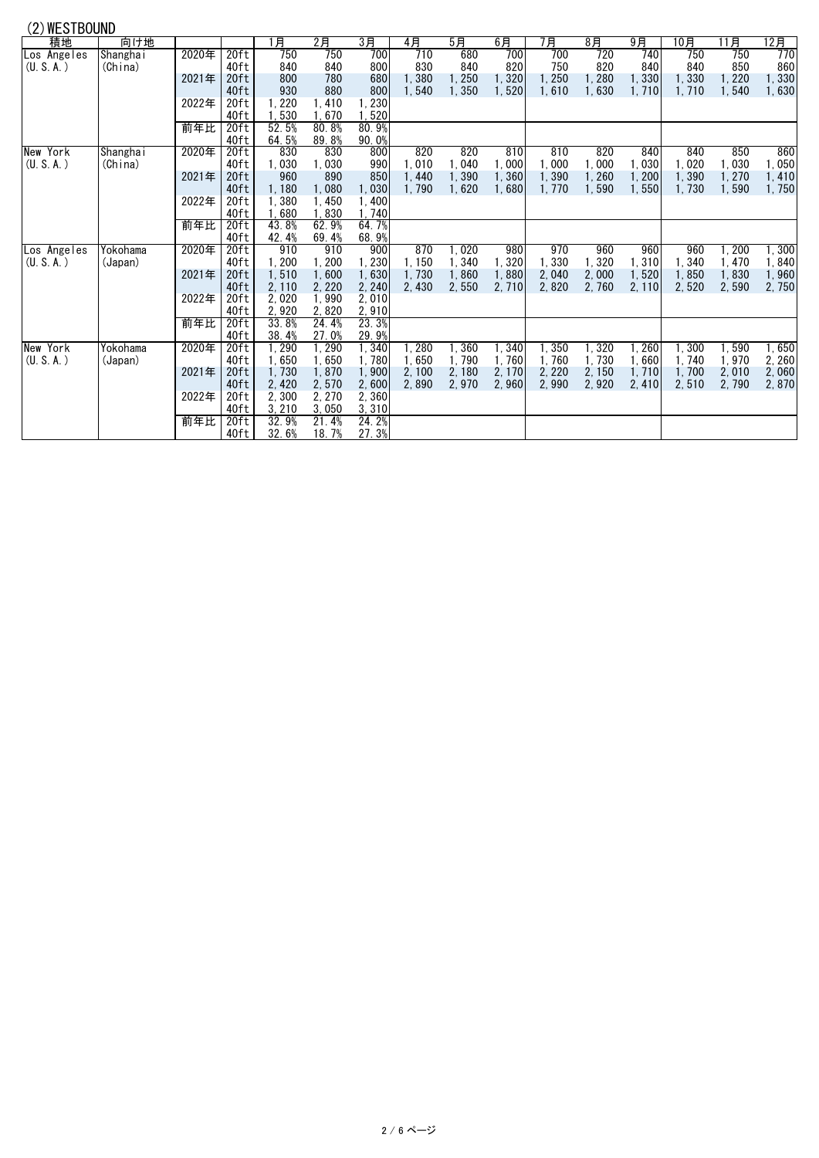| (2) WESTBOUND |  |
|---------------|--|
|---------------|--|

| (4) IILV I DUUIND |          |       |                  |        |        |        |        |        |        |        |        |        |       |       |       |
|-------------------|----------|-------|------------------|--------|--------|--------|--------|--------|--------|--------|--------|--------|-------|-------|-------|
| 積地                | 向け地      |       |                  | 月      | $2$ 月  | 3月     | 4月     | 5月     | 6月     | 7月     | $8$ 月  | 9月     | 10月   | 11月   | 12月   |
| Los Angeles       | Shanghai | 2020年 | 20ft             | 750    | 750    | 700    | 710    | 680    | 700    | 700    | 720    | 740    | 750   | 750   | 770   |
| (U. S. A.)        | (China)  |       | 40ft             | 840    | 840    | 800    | 830    | 840    | 820    | 750    | 820    | 840    | 840   | 850   | 860   |
|                   |          | 2021年 | 20ft             | 800    | 780    | 680    | 1.380  | 1,250  | 1,320  | 1,250  | 1,280  | 1.330  | 1,330 | 1,220 | 1,330 |
|                   |          |       | 40ft             | 930    | 880    | 800    | 1.540  | 1.350  | 1,520  | 1,610  | 1,630  | 1.710  | 1.710 | 1,540 | 1,630 |
|                   |          | 2022年 | 20ft             | 1, 220 | 1.410  | 1,230  |        |        |        |        |        |        |       |       |       |
|                   |          |       | 40ft             | 1,530  | 1.670  | 1,520  |        |        |        |        |        |        |       |       |       |
|                   |          | 前年比   | 20 <sub>ft</sub> | 52.5%  | 80.8%  | 80.9%  |        |        |        |        |        |        |       |       |       |
|                   |          |       | 40ft             | 64.5%  | 89.8%  | 90.0%  |        |        |        |        |        |        |       |       |       |
| New York          | Shanghai | 2020年 | 20ft             | 830    | 830    | 800    | 820    | 820    | 810    | 810    | 820    | 840    | 840   | 850   | 860   |
| (U, S, A)         | (China)  |       | 40ft             | 1,030  | 1,030  | 990    | 1.010  | 1,040  | 1,000  | 1.000  | 1.000  | 1.030  | 1,020 | 1,030 | 1.050 |
|                   |          | 2021年 | 20ft             | 960    | 890    | 850    | 1.440  | 1,390  | 1,360  | 1.390  | 1,260  | 1,200  | 1.390 | 1,270 | 1,410 |
|                   |          |       | 40ft             | 1,180  | 1,080  | 1,030  | 1,790  | 1.620  | 1.680  | 1.770  | 1,590  | 1.550  | 1.730 | 1,590 | 1,750 |
|                   |          | 2022年 | 20ft             | 1,380  | 1.450  | 1,400  |        |        |        |        |        |        |       |       |       |
|                   |          |       | 40ft             | 1,680  | 1,830  | 1,740  |        |        |        |        |        |        |       |       |       |
|                   |          | 前年比   | 20ft             | 43.8%  | 62.9%  | 64.7%  |        |        |        |        |        |        |       |       |       |
|                   |          |       | 40ft             | 42.4%  | 69.4%  | 68.9%  |        |        |        |        |        |        |       |       |       |
| Los Angeles       | Yokohama | 2020年 | 20ft             | 910    | 910    | 900    | 870    | 1,020  | 980    | 970    | 960    | 960    | 960   | 1,200 | 1,300 |
| (U, S, A)         | (Japan)  |       | 40ft             | 1,200  | 1,200  | 1,230  | 1.150  | 1,340  | 1,320  | 1,330  | 1,320  | 1,310  | 1,340 | 1,470 | 1,840 |
|                   |          | 2021年 | 20 <sub>ft</sub> | 1,510  | 1.600  | 1,630  | 1.730  | 1,860  | 1,880  | 2.040  | 2,000  | 1.520  | 1.850 | 1,830 | 1,960 |
|                   |          |       | 40ft             | 2, 110 | 2, 220 | 2, 240 | 2,430  | 2,550  | 2,710  | 2.820  | 2.760  | 2, 110 | 2,520 | 2,590 | 2,750 |
|                   |          | 2022年 | 20ft             | 2,020  | 1,990  | 2,010  |        |        |        |        |        |        |       |       |       |
|                   |          |       | 40ft             | 2,920  | 2,820  | 2,910  |        |        |        |        |        |        |       |       |       |
|                   |          | 前年比   | 20 <sub>ft</sub> | 33.8%  | 24.4%  | 23.3%  |        |        |        |        |        |        |       |       |       |
|                   |          |       | 40ft             | 38.4%  | 27.0%  | 29.9%  |        |        |        |        |        |        |       |       |       |
| New York          | Yokohama | 2020年 | 20ft             | 1,290  | 1,290  | 1,340  | l. 280 | 1,360  | 1,340  | 1,350  | 1,320  | 1, 260 | 1,300 | 1,590 | 1,650 |
| (U, S, A)         | (Japan)  |       | 40ft             | 1,650  | 1,650  | 1,780  | 1.650  | 1.790  | 1.760  | 1,760  | 1,730  | 1.660  | 1.740 | 1,970 | 2,260 |
|                   |          | 2021年 | 20ft             | 1,730  | 1,870  | 1,900  | 2.100  | 2, 180 | 2, 170 | 2, 220 | 2, 150 | 1.710  | 1.700 | 2,010 | 2,060 |
|                   |          |       | 40ft             | 2,420  | 2,570  | 2,600  | 2.890  | 2,970  | 2,960  | 2.990  | 2.920  | 2,410  | 2,510 | 2,790 | 2,870 |
|                   |          | 2022年 | 20ft             | 2,300  | 2.270  | 2.360  |        |        |        |        |        |        |       |       |       |
|                   |          |       | 40ft             | 3, 210 | 3,050  | 3,310  |        |        |        |        |        |        |       |       |       |
|                   |          | 前年比   | 20ft             | 32.9%  | 21.4%  | 24.2%  |        |        |        |        |        |        |       |       |       |
|                   |          |       | 40ft             | 32.6%  | 18.7%  | 27.3%  |        |        |        |        |        |        |       |       |       |
|                   |          |       |                  |        |        |        |        |        |        |        |        |        |       |       |       |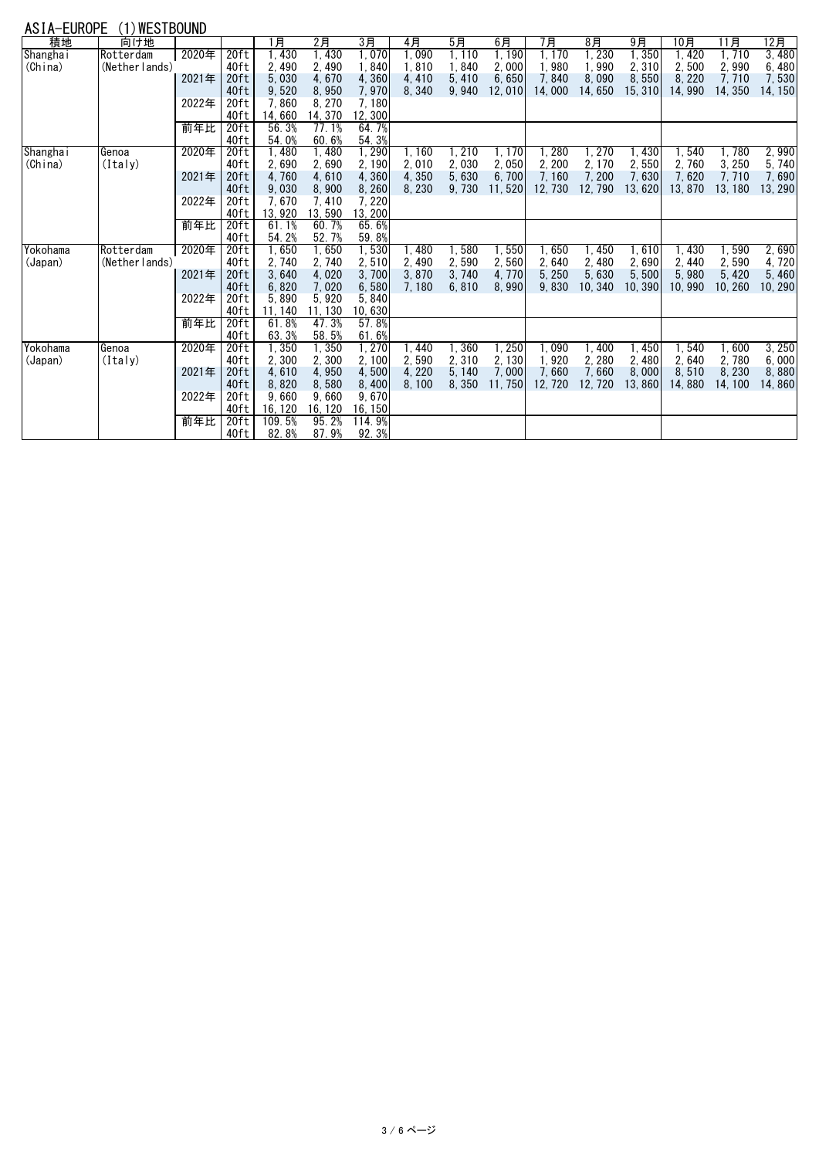## ASIA-EUROPE (1)WESTBOUND

| <b>NUIN LUIVIL</b> | $(1)$ $(1)$    |       |                  |                    |         |         |        |        |         |        |         |        |        |         |         |
|--------------------|----------------|-------|------------------|--------------------|---------|---------|--------|--------|---------|--------|---------|--------|--------|---------|---------|
| 積地                 | 向け地            |       |                  | 1月                 | 2月      | 3月      | 4月     | 5月     | 6月      | 7月     | $8$ 月   | 9月     | 10月    | 11月     | 12月     |
| Shangha i          | Rotterdam      | 2020年 | 20ft             | ,430               | 1.430   | 1.070   | l. 090 | 1.110  | 1,190   | 1.170  | 1, 230  | 1,350  | 1.420  | 1,710   | 3,480   |
| (China)            | (Nether lands) |       | 40ft             | 2,490              | 2.490   | 1.840   | 1.810  | 1,840  | 2,000   | 1.980  | 1,990   | 2,310  | 2.500  | 2,990   | 6,480   |
|                    |                | 2021年 | 20ft             | 5,030              | 4.670   | 4.360   | 4.410  | 5,410  | 6,650   | 7,840  | 8,090   | 8,550  | 8.220  | 7,710   | 7,530   |
|                    |                |       | 40ft             | 9,520              | 8.950   | 7,970   | 8,340  | 9.940  | 12,010  | 14.000 | 14.650  | 15.310 | 14.990 | 14, 350 | 14, 150 |
|                    |                | 2022年 | 20ft             | 7,860              | 8.270   | 7.180   |        |        |         |        |         |        |        |         |         |
|                    |                |       | 40ft             | 14,660             | 14, 370 | 12, 300 |        |        |         |        |         |        |        |         |         |
|                    |                | 前年比   | 20 <sub>ft</sub> | 56.3%              | 77.1%   | 64.7%   |        |        |         |        |         |        |        |         |         |
|                    |                |       | 40ft             | 54.0%              | 60.6%   | 54.3%   |        |        |         |        |         |        |        |         |         |
| Shangha i          | Genoa          | 2020年 | 20ft             | $\overline{.}$ 480 | 1,480   | 1, 290  | 1.160  | 1, 210 | 1, 170  | 1.280  | l, 270  | 1,430  | 1.540  | 1.780   | 2,990   |
| (China)            | (Italv)        |       | 40ft             | 2,690              | 2,690   | 2, 190  | 2.010  | 2,030  | 2,050   | 2.200  | 2, 170  | 2,550  | 2,760  | 3, 250  | 5,740   |
|                    |                | 2021年 | 20ft             | 4,760              | 4,610   | 4.360   | 4.350  | 5,630  | 6,700   | 7.160  | 7, 200  | 7.630  | 7.620  | 7.710   | 7.690   |
|                    |                |       | 40ft             | 9,030              | 8,900   | 8.260   | 8,230  | 9.730  | 11.520  | 12.730 | 12.790  | 13.620 | 13.870 | 13.180  | 13, 290 |
|                    |                | 2022年 | 20ft             | 7,670              | 7.410   | 7.220   |        |        |         |        |         |        |        |         |         |
|                    |                |       | 40ft             | 13,920             | 13, 590 | 13, 200 |        |        |         |        |         |        |        |         |         |
|                    |                | 前年比   | 20 <sub>ft</sub> | 61.1%              | 60.7%   | 65.6%   |        |        |         |        |         |        |        |         |         |
|                    |                |       | 40ft             | 54.2%              | 52.7%   | 59.8%   |        |        |         |        |         |        |        |         |         |
| Yokohama           | Rotterdam      | 2020年 | 20 <sub>ft</sub> | 1,650              | 1,650   | 1,530   | 1,480  | 1,580  | 1,550   | 1,650  | 1,450   | 1,610  | 1, 430 | 1,590   | 2,690   |
| (Japan)            | (Nether lands) |       | 40ft             | 2.740              | 2,740   | 2,510   | 2.490  | 2.590  | 2,560   | 2.640  | 2.480   | 2.690  | 2.440  | 2.590   | 4,720   |
|                    |                | 2021年 | 20 <sub>ft</sub> | 3,640              | 4,020   | 3,700   | 3.870  | 3, 740 | 4,770   | 5, 250 | 5,630   | 5,500  | 5.980  | 5.420   | 5.460   |
|                    |                |       | 40ft             | 6,820              | 7,020   | 6,580   | 7.180  | 6, 810 | 8,990   | 9.830  | 10, 340 | 10.390 | 10.990 | 10, 260 | 10, 290 |
|                    |                | 2022年 | 20ft             | 5,890              | 5,920   | 5,840   |        |        |         |        |         |        |        |         |         |
|                    |                |       | 40ft             | 11.140             | 11, 130 | 10,630  |        |        |         |        |         |        |        |         |         |
|                    |                | 前年比   | 20 <sub>ft</sub> | 61.8%              | 47.3%   | 57.8%   |        |        |         |        |         |        |        |         |         |
|                    |                |       | 40ft             | 63.3%              | 58.5%   | 61.6%   |        |        |         |        |         |        |        |         |         |
| Yokohama           | Genoa          | 2020年 | 20 <sub>ft</sub> | 1,350              | 1,350   | 1, 270  | .440   | 360    | 1,250   | 1.090  | 1,400   | 1.450  | 1.540  | 1.600   | 3,250   |
| (Japan)            | (Italy)        |       | 40ft             | 2,300              | 2,300   | 2.100   | 2.590  | 2,310  | 2, 130  | 1,920  | 2, 280  | 2.480  | 2.640  | 2,780   | 6,000   |
|                    |                | 2021年 | 20ft             | 4,610              | 4,950   | 4,500   | 4.220  | 5.140  | 7,000   | 7.660  | 7,660   | 8,000  | 8.510  | 8.230   | 8.880   |
|                    |                |       | 40ft             | 8,820              | 8,580   | 8,400   | 8.100  | 8.350  | 11, 750 | 12.720 | 12, 720 | 13.860 | 14.880 | 14.100  | 14.860  |
|                    |                | 2022年 | 20ft             | 9,660              | 9.660   | 9.670   |        |        |         |        |         |        |        |         |         |
|                    |                |       | 40ft             | 16, 120            | 16, 120 | 16, 150 |        |        |         |        |         |        |        |         |         |
|                    |                | 前年比   | 20ft             | 109.5%             | 95.2%   | 114.9%  |        |        |         |        |         |        |        |         |         |
|                    |                |       | 40ft             | 82.8%              | 87.9%   | 92.3%   |        |        |         |        |         |        |        |         |         |
|                    |                |       |                  |                    |         |         |        |        |         |        |         |        |        |         |         |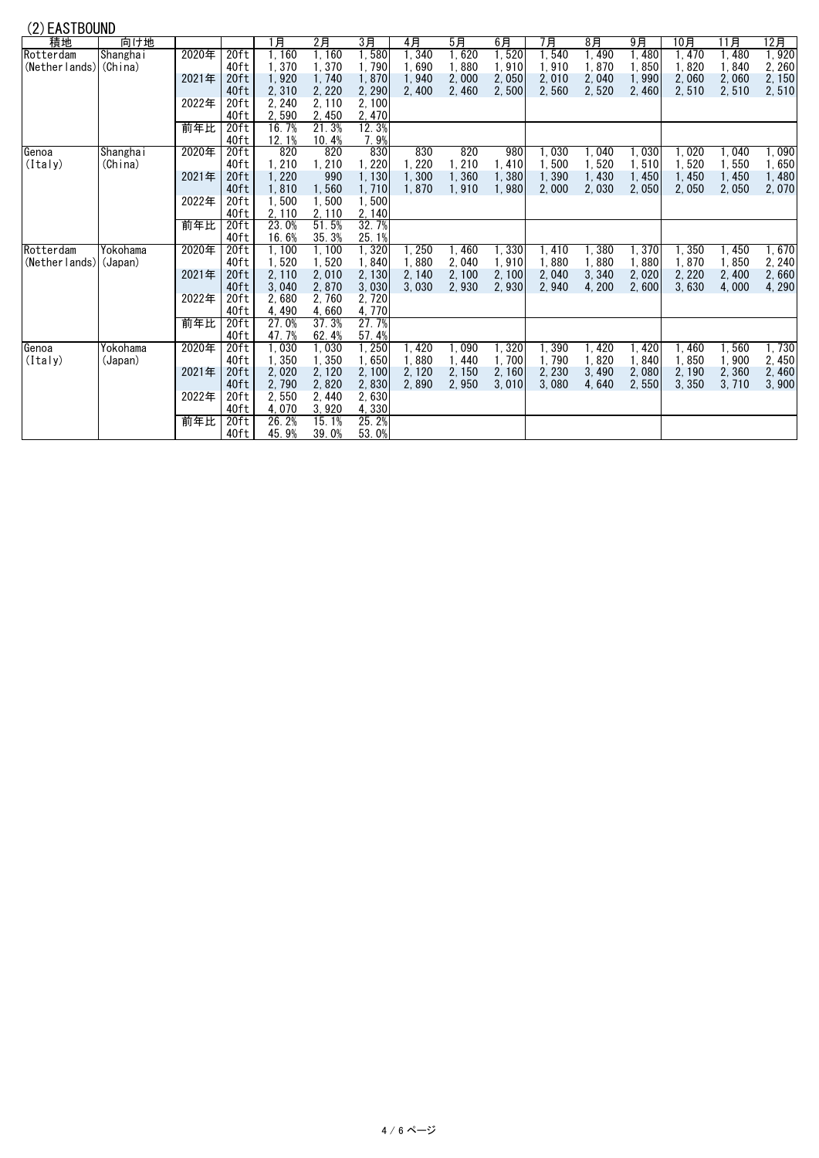## (2)EASTBOUND

| <b>LAUTDUUND</b>      |                 |       |                  |        |        |        |                   |        |        |        |                   |                   |        |        |        |
|-----------------------|-----------------|-------|------------------|--------|--------|--------|-------------------|--------|--------|--------|-------------------|-------------------|--------|--------|--------|
| 積地                    | 向け地             |       |                  | 1月     | 2月     | 3月     | 4月                | 5月     | 6月     | 7月     | 8月                | 9月                | 10月    | 11月    | 12月    |
| Rotterdam             | <b>Shanghai</b> | 2020年 | 20 <sub>ft</sub> | 1, 160 | 1.160  | 1,580  | l. 340            | 1,620  | 1, 520 | . 540  | 1,490             | $\overline{.}480$ | 1.470  | l, 480 | l, 920 |
| (Netherlands) (China) |                 |       | 40ft             | 1,370  | 1.370  | 1.790  | 1.690             | 1,880  | 1,910  | 1.910  | 1.870             | 1.850             | 1.820  | 1.840  | 2.260  |
|                       |                 | 2021年 | 20ft             | 1,920  | 1.740  | 1,870  | 1,940             | 2,000  | 2,050  | 2,010  | 2,040             | 1.990             | 2.060  | 2,060  | 2, 150 |
|                       |                 |       | 40ft             | 2,310  | 2, 220 | 2, 290 | 2,400             | 2,460  | 2,500  | 2,560  | 2,520             | 2.460             | 2,510  | 2,510  | 2,510  |
|                       |                 | 2022年 | 20ft             | 2, 240 | 2, 110 | 2,100  |                   |        |        |        |                   |                   |        |        |        |
|                       |                 |       | 40ft             | 2,590  | 2, 450 | 2,470  |                   |        |        |        |                   |                   |        |        |        |
|                       |                 | 前年比   | 20 <sub>ft</sub> | 16.7%  | 21.3%  | 12.3%  |                   |        |        |        |                   |                   |        |        |        |
|                       |                 |       | 40ft             | 12.1%  | 10.4%  | 7.9%   |                   |        |        |        |                   |                   |        |        |        |
| Genoa                 | Shanghai        | 2020年 | 20ft             | 820    | 820    | 830    | 830               | 820    | 980    | l.030  | .040              | I.O30             | 1.020  | 1.040  | ∣, 090 |
| (Italy)               | (China)         |       | 40ft             | 1, 210 | 1, 210 | 1, 220 | 1.220             | 1,210  | 1,410  | 1.500  | 1,520             | 1,510             | 1,520  | 1,550  | 1,650  |
|                       |                 | 2021年 | 20ft             | 1,220  | 990    | 1, 130 | 1.300             | 1,360  | 1,380  | 1,390  | 1,430             | 1,450             | 1,450  | 1,450  | 1,480  |
|                       |                 |       | 40ft             | 1,810  | 1,560  | 1,710  | 1.870             | 1.910  | 1.980  | 2.000  | 2,030             | 2.050             | 2,050  | 2,050  | 2,070  |
|                       |                 | 2022年 | 20ft             | 1,500  | 1,500  | 1,500  |                   |        |        |        |                   |                   |        |        |        |
|                       |                 |       | 40ft             | 2, 110 | 2, 110 | 2, 140 |                   |        |        |        |                   |                   |        |        |        |
|                       |                 | 前年比   | 20 <sub>ft</sub> | 23.0%  | 51.5%  | 32.7%  |                   |        |        |        |                   |                   |        |        |        |
|                       |                 |       | 40ft             | 16.6%  | 35.3%  | 25.1%  |                   |        |        |        |                   |                   |        |        |        |
| Rotterdam             | Yokohama        | 2020年 | 20 <sub>ft</sub> | 1,100  | 1,100  | 1,320  | $\overline{.250}$ | 1,460  | 1,330  | I. 410 | 380               | 1,370             | 1,350  | 1,450  | 1,670  |
| (Netherlands) (Japan) |                 |       | 40ft             | 1,520  | 1,520  | 1,840  | 1.880             | 2,040  | 1,910  | 1.880  | 1.880             | 1.880             | 1.870  | 1,850  | 2, 240 |
|                       |                 | 2021年 | 20 <sub>ft</sub> | 2, 110 | 2,010  | 2,130  | 2.140             | 2, 100 | 2.100  | 2.040  | 3,340             | 2.020             | 2.220  | 2,400  | 2.660  |
|                       |                 |       | 40ft             | 3,040  | 2.870  | 3,030  | 3.030             | 2.930  | 2.930  | 2.940  | 4.200             | 2.600             | 3.630  | 4.000  | 4,290  |
|                       |                 | 2022年 | 20ft             | 2,680  | 2,760  | 2, 720 |                   |        |        |        |                   |                   |        |        |        |
|                       |                 |       | 40ft             | 4,490  | 4,660  | 4,770  |                   |        |        |        |                   |                   |        |        |        |
|                       |                 | 前年比   | 20 <sub>ft</sub> | 27.0%  | 37.3%  | 27.7%  |                   |        |        |        |                   |                   |        |        |        |
|                       |                 |       | 40ft             | 47.7%  | 62.4%  | 57.4%  |                   |        |        |        |                   |                   |        |        |        |
| Genoa                 | Yokohama        | 2020年 | 20 <sub>ft</sub> | 1,030  | 1.030  | l. 250 | .420              | 1.090  | 1,320  | .390   | $\overline{.}420$ | .420              | ∣. 460 | 1.560  | l, 730 |
| (Italy)               | (Japan)         |       | 40ft             | 1,350  | 1,350  | 1,650  | 1,880             | 1, 440 | 1,700  | 1.790  | 1,820             | 1.840             | 1,850  | 1,900  | 2.450  |
|                       |                 | 2021年 | 20ft             | 2,020  | 2, 120 | 2, 100 | 2.120             | 2, 150 | 2, 160 | 2.230  | 3,490             | 2.080             | 2.190  | 2,360  | 2.460  |
|                       |                 |       | 40ft             | 2,790  | 2,820  | 2,830  | 2.890             | 2,950  | 3.010  | 3.080  | 4,640             | 2.550             | 3.350  | 3.710  | 3,900  |
|                       |                 | 2022年 | 20ft             | 2,550  | 2,440  | 2.630  |                   |        |        |        |                   |                   |        |        |        |
|                       |                 |       | 40ft             | 4,070  | 3.920  | 4,330  |                   |        |        |        |                   |                   |        |        |        |
|                       |                 | 前年比   | 20 <sub>ft</sub> | 26.2%  | 15.1%  | 25.2%  |                   |        |        |        |                   |                   |        |        |        |
|                       |                 |       | 40ft             | 45.9%  | 39.0%  | 53.0%  |                   |        |        |        |                   |                   |        |        |        |
|                       |                 |       |                  |        |        |        |                   |        |        |        |                   |                   |        |        |        |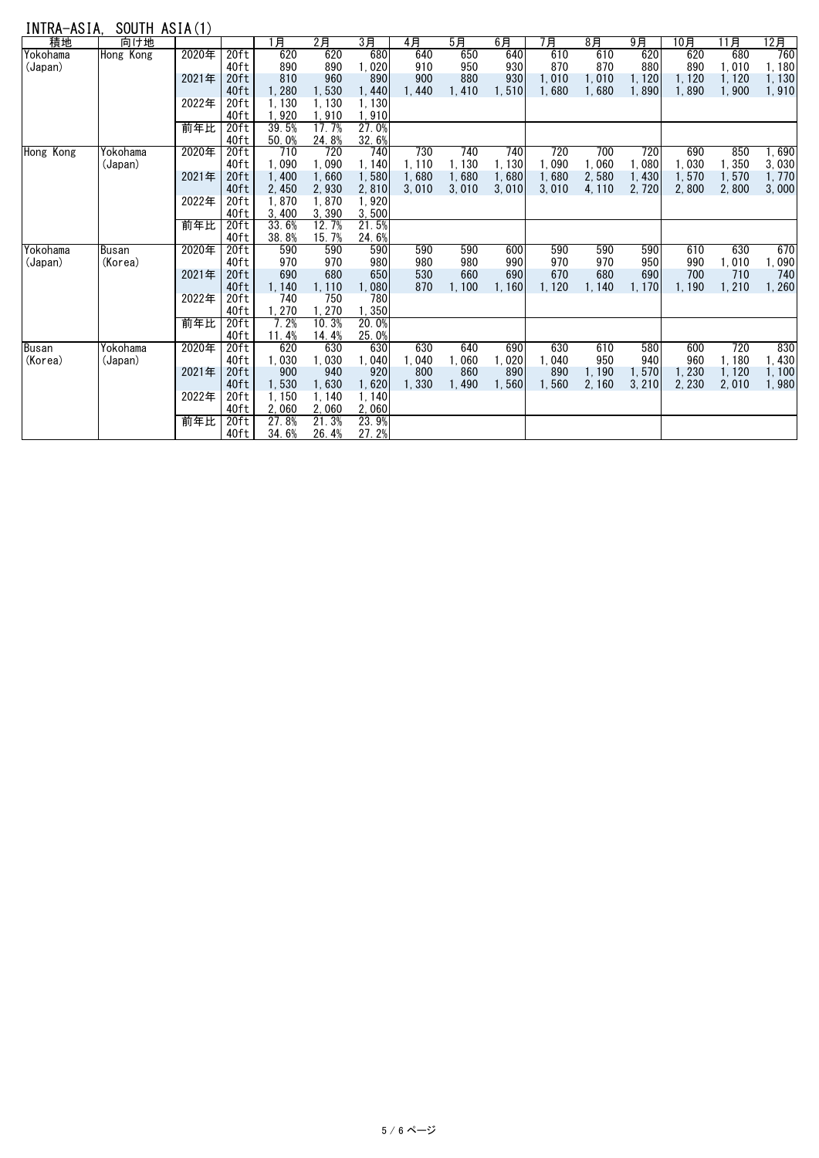# INTRA-ASIA, SOUTH ASIA(1)

|           |           | $000111$ $10111$ |                  |        |       |                |       |        |        |        |        |        |        |        |        |
|-----------|-----------|------------------|------------------|--------|-------|----------------|-------|--------|--------|--------|--------|--------|--------|--------|--------|
| 積地        | 向け地       |                  |                  | l 月    | $2$ 月 | 3 <sub>月</sub> | 4月    | $5$ 月  | 6月     | 7月     | $8$ 月  | $9$ 月  | 10月    | 11月    | 12月    |
| Yokohama  | Hong Kong | 2020年            | 20 <sub>ft</sub> | 620    | 620   | 680            | 640   | 650    | 640    | 610    | 610    | 620    | 620    | 680    | 760    |
| (Japan)   |           |                  | 40ft             | 890    | 890   | 1.020          | 910   | 950    | 930    | 870    | 870    | 880    | 890    | 1,010  | 1.180  |
|           |           | 2021年            | 20ft             | 810    | 960   | 890            | 900   | 880    | 930    | 1.010  | 1,010  | 1, 120 | 1, 120 | 1, 120 | 1,130  |
|           |           |                  | 40ft             | 1,280  | 1,530 | 1,440          | 1.440 | 1.410  | 1.510  | 1.680  | 1.680  | 1.890  | 1,890  | 1,900  | 1,910  |
|           |           | 2022年            | 20ft             | 1.130  | 1.130 | 1.130          |       |        |        |        |        |        |        |        |        |
|           |           |                  | 40ft             | 1.920  | 1.910 | 1,910          |       |        |        |        |        |        |        |        |        |
|           |           | 前年比              | 20 <sub>ft</sub> | 39.5%  | 17.7% | 27.0%          |       |        |        |        |        |        |        |        |        |
|           |           |                  | 40ft             | 50.0%  | 24.8% | 32.6%          |       |        |        |        |        |        |        |        |        |
| Hong Kong | Yokohama  | 2020年            | 20ft             | 710    | 720   | 740            | 730   | 740    | 740    | 720    | 700    | 720    | 690    | 850    | 1,690  |
|           | (Japan)   |                  | 40ft             | 1,090  | 1,090 | 1.140          | 1,110 | 1, 130 | 1, 130 | 1.090  | 1,060  | 1.080  | 1,030  | 1,350  | 3.030  |
|           |           | 2021年            | 20ft             | 1.400  | 1,660 | 1,580          | 1.680 | 1.680  | 1.680  | 1.680  | 2.580  | 1.430  | 1.570  | 1.570  | 1.770  |
|           |           |                  | 40ft             | 2,450  | 2.930 | 2,810          | 3,010 | 3,010  | 3,010  | 3.010  | 4, 110 | 2.720  | 2.800  | 2.800  | 3,000  |
|           |           | 2022年            | 20ft             | 1.870  | 1.870 | 1,920          |       |        |        |        |        |        |        |        |        |
|           |           |                  | 40ft             | 3,400  | 3,390 | 3,500          |       |        |        |        |        |        |        |        |        |
|           |           | 前年比              | 20ft             | 33.6%  | 12.7% | 21.5%          |       |        |        |        |        |        |        |        |        |
|           |           |                  | 40ft             | 38.8%  | 15.7% | 24.6%          |       |        |        |        |        |        |        |        |        |
| Yokohama  | Busan     | 2020年            | 20 <sub>ft</sub> | 590    | 590   | 590            | 590   | 590    | 600    | 590    | 590    | 590    | 610    | 630    | 670    |
| (Japan)   | (Korea)   |                  | 40ft             | 970    | 970   | 980            | 980   | 980    | 990    | 970    | 970    | 950    | 990    | 1,010  | 1.090  |
|           |           | 2021年            | 20ft             | 690    | 680   | 650            | 530   | 660    | 690    | 670    | 680    | 690    | 700    | 710    | 740    |
|           |           |                  | 40ft             | 1,140  | 1,110 | 1.080          | 870   | 1.100  | 1.160  | 1, 120 | 1, 140 | 1, 170 | 1.190  | 1,210  | 1, 260 |
|           |           | 2022年            | 20ft             | 740    | 750   | 780            |       |        |        |        |        |        |        |        |        |
|           |           |                  | 40ft             | 1, 270 | 1,270 | 1,350          |       |        |        |        |        |        |        |        |        |
|           |           | 前年比              | 20 <sub>ft</sub> | 7.2%   | 10.3% | 20.0%          |       |        |        |        |        |        |        |        |        |
|           |           |                  | 40ft             | 11.4%  | 14.4% | 25.0%          |       |        |        |        |        |        |        |        |        |
| Busan     | Yokohama  | 2020年            | 20 <sub>ft</sub> | 620    | 630   | 630            | 630   | 640    | 690    | 630    | 610    | 580    | 600    | 720    | 830    |
| (Korea)   | (Japan)   |                  | 40ft             | 1,030  | 1,030 | 1.040          | 1,040 | 1,060  | 1,020  | 1.040  | 950    | 940    | 960    | 1,180  | 1,430  |
|           |           | 2021年            | 20ft             | 900    | 940   | 920            | 800   | 860    | 890    | 890    | 1, 190 | 1.570  | 1.230  | 1, 120 | 1.100  |
|           |           |                  | 40 <sub>ft</sub> | 1,530  | 1,630 | 1,620          | 1.330 | 1.490  | 1.560  | 1.560  | 2, 160 | 3.210  | 2.230  | 2.010  | 1.980  |
|           |           | 2022年            | 20ft             | 1.150  | 1.140 | 1.140          |       |        |        |        |        |        |        |        |        |
|           |           |                  | 40ft             | 2.060  | 2.060 | 2.060          |       |        |        |        |        |        |        |        |        |
|           |           | 前年比              | 20ft             | 27.8%  | 21.3% | 23.9%          |       |        |        |        |        |        |        |        |        |
|           |           |                  | 40ft             | 34.6%  | 26.4% | 27.2%          |       |        |        |        |        |        |        |        |        |
|           |           |                  |                  |        |       |                |       |        |        |        |        |        |        |        |        |